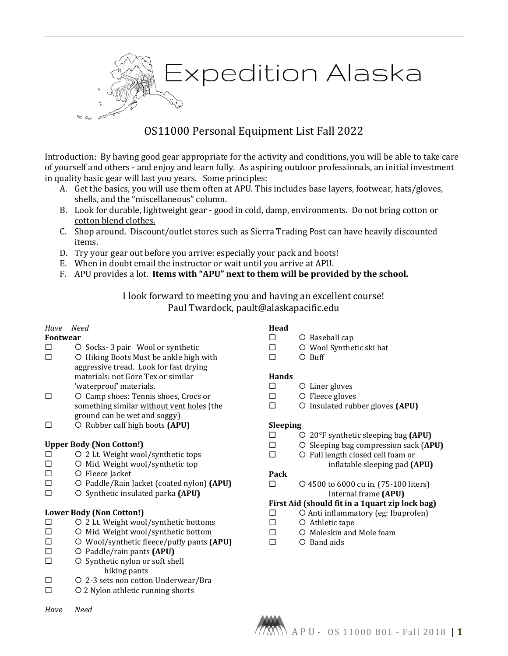

# OS11000 Personal Equipment List Fall 2022

Introduction: By having good gear appropriate for the activity and conditions, you will be able to take care of yourself and others - and enjoy and learn fully. As aspiring outdoor professionals, an initial investment in quality basic gear will last you years. Some principles:

- A. Get the basics, you will use them often at APU. This includes base layers, footwear, hats/gloves, shells, and the "miscellaneous" column.
- B. Look for durable, lightweight gear good in cold, damp, environments. Do not bring cotton or cotton blend clothes.
- C. Shop around. Discount/outlet stores such as Sierra Trading Post can have heavily discounted items.
- D. Try your gear out before you arrive: especially your pack and boots!
- E. When in doubt email the instructor or wait until you arrive at APU.
- F. APU provides a lot. **Items with "APU" next to them will be provided by the school.**

I look forward to meeting you and having an excellent course! Paul Twardock, pault@alaskapacific.edu

#### *Have Need*

## **Footwear**

- $\square$  O Socks- 3 pair Wool or synthetic  $\square$  O Hiking Boots Must be ankle high
- $\circ$  Hiking Boots Must be ankle high with aggressive tread. Look for fast drying materials: not Gore Tex or similar 'waterproof' materials.
- Camp shoes: Tennis shoes, Crocs or something similar without vent holes (the ground can be wet and soggy)
- Rubber calf high boots **(APU)**

#### **Upper Body (Non Cotton!)**

- 2 Lt. Weight wool/synthetic tops
- $\square$  O Mid. Weight wool/synthetic top<br> $\square$  O Fleece lacket
- $\square$  O Fleece Jacket<br> $\square$  O Paddle/Rain
- □ O Paddle/Rain Jacket (coated nylon) **(APU)**<br>□ Synthetic insulated narka **(APU)**
- Synthetic insulated parka **(APU)**

#### **Lower Body (Non Cotton!)**

- $\square$  O 2 Lt. Weight wool/synthetic bottoms<br> $\square$  O Mid. Weight wool/synthetic bottom
- $\square$  O Mid. Weight wool/synthetic bottom<br> $\square$  O Wool/synthetic fleece/puffy pants (
- Wool/synthetic fleece/puffy pants **(APU)**
- □ O Paddle/rain pants **(APU)**<br>□ O Synthetic nylon or soft she
- O Synthetic nylon or soft shell hiking pants
- 2-3 sets non cotton Underwear/Bra
- 2 Nylon athletic running shorts

#### *Have Need*

# **Head**

- 
- Baseball cap  $\Box$  O Wool Synthetic ski hat  $\Box$  O Buff
- $O$  Buff

#### **Hands**

- Liner gloves
- Fleece gloves
- Insulated rubber gloves **(APU)**

#### **Sleeping**

- 20°F synthetic sleeping bag **(APU)**
- $\square$   $\bigcirc$  Sleeping bag compression sack (APU)  $\square$   $\bigcirc$  Full length closed cell foam or
- Full length closed cell foam or

#### inflatable sleeping pad **(APU)**

# **Pack**

 4500 to 6000 cu in. (75-100 liters) Internal frame **(APU)**

# **First Aid (should fit in a 1quart zip lock bag)**

- $\square$   $\bigcirc$  Anti inflammatory (eg: Ibuprofen)<br> $\square$   $\bigcirc$  Athletic tape
- $\square$   $\qquad$   $\Box$   $\qquad$   $\Box$   $\qquad$   $\Box$   $\qquad$   $\Box$   $\qquad$   $\Box$   $\qquad$   $\Box$   $\qquad$   $\Box$   $\qquad$   $\Box$   $\qquad$   $\Box$   $\qquad$   $\Box$   $\qquad$   $\Box$   $\qquad$   $\Box$   $\qquad$   $\Box$   $\qquad$   $\Box$   $\qquad$   $\Box$   $\qquad$   $\Box$   $\qquad$   $\Box$   $\qquad$   $\Box$   $\qquad$   $\Box$   $\qquad$
- $\Box$  O Moleskin and Mole foam<br> $\Box$  O Band aids
	- O Band aids